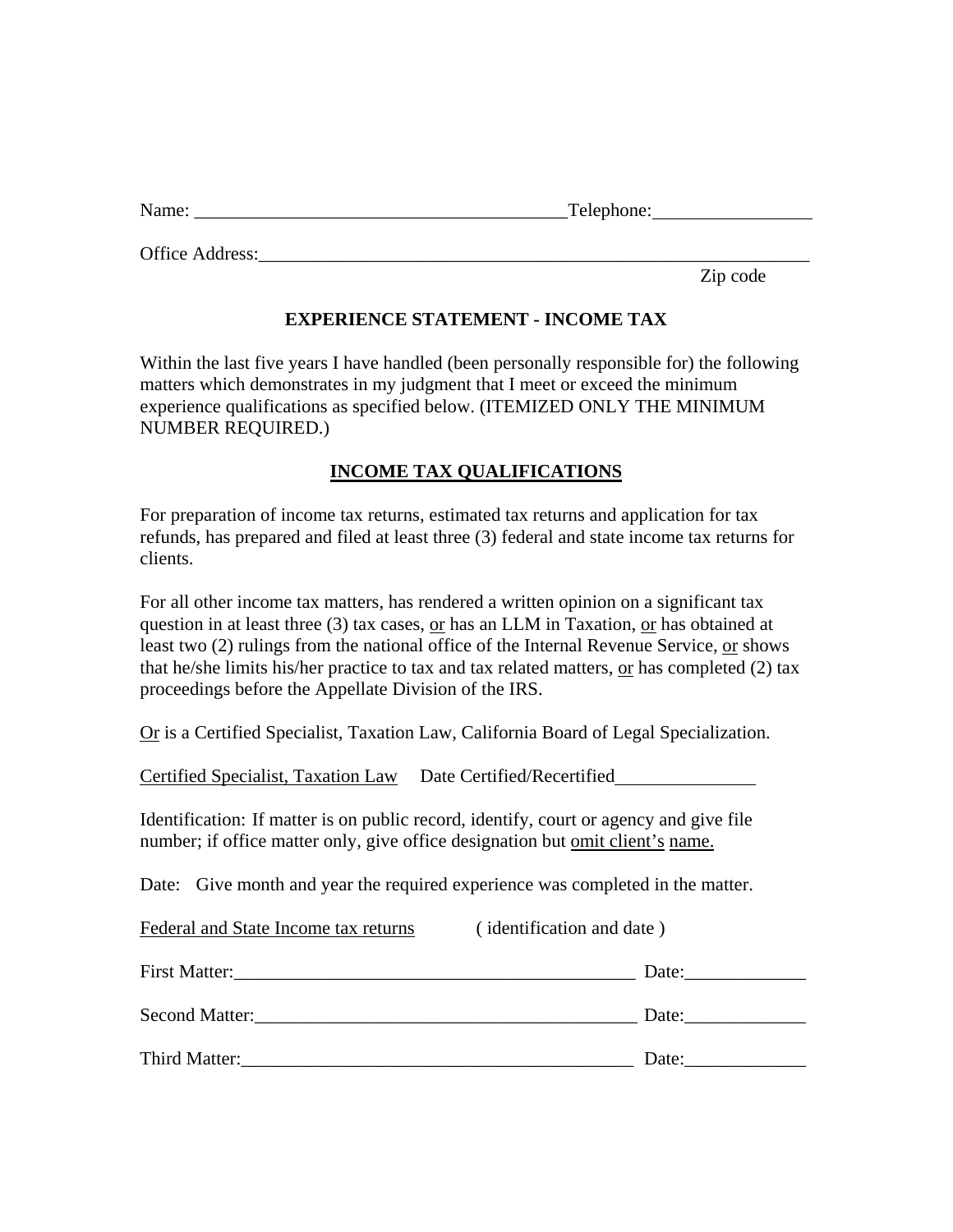| Name: | m<br>Telephone: |
|-------|-----------------|
|       |                 |

Office Address:

Zip code

## **EXPERIENCE STATEMENT - INCOME TAX**

Within the last five years I have handled (been personally responsible for) the following matters which demonstrates in my judgment that I meet or exceed the minimum experience qualifications as specified below. (ITEMIZED ONLY THE MINIMUM NUMBER REQUIRED.)

## **INCOME TAX QUALIFICATIONS**

For preparation of income tax returns, estimated tax returns and application for tax refunds, has prepared and filed at least three (3) federal and state income tax returns for clients.

For all other income tax matters, has rendered a written opinion on a significant tax question in at least three  $(3)$  tax cases, or has an LLM in Taxation, or has obtained at least two (2) rulings from the national office of the Internal Revenue Service, or shows that he/she limits his/her practice to tax and tax related matters, or has completed (2) tax proceedings before the Appellate Division of the IRS.

Or is a Certified Specialist, Taxation Law, California Board of Legal Specialization.

Certified Specialist, Taxation Law Date Certified/Recertified

Identification: If matter is on public record, identify, court or agency and give file number; if office matter only, give office designation but <u>omit client's name.</u>

Date: Give month and year the required experience was completed in the matter.

Federal and State Income tax returns (identification and date)

| <b>First Matter:</b>  | Date: |
|-----------------------|-------|
| <b>Second Matter:</b> | Date: |
| Third Matter:         | Date: |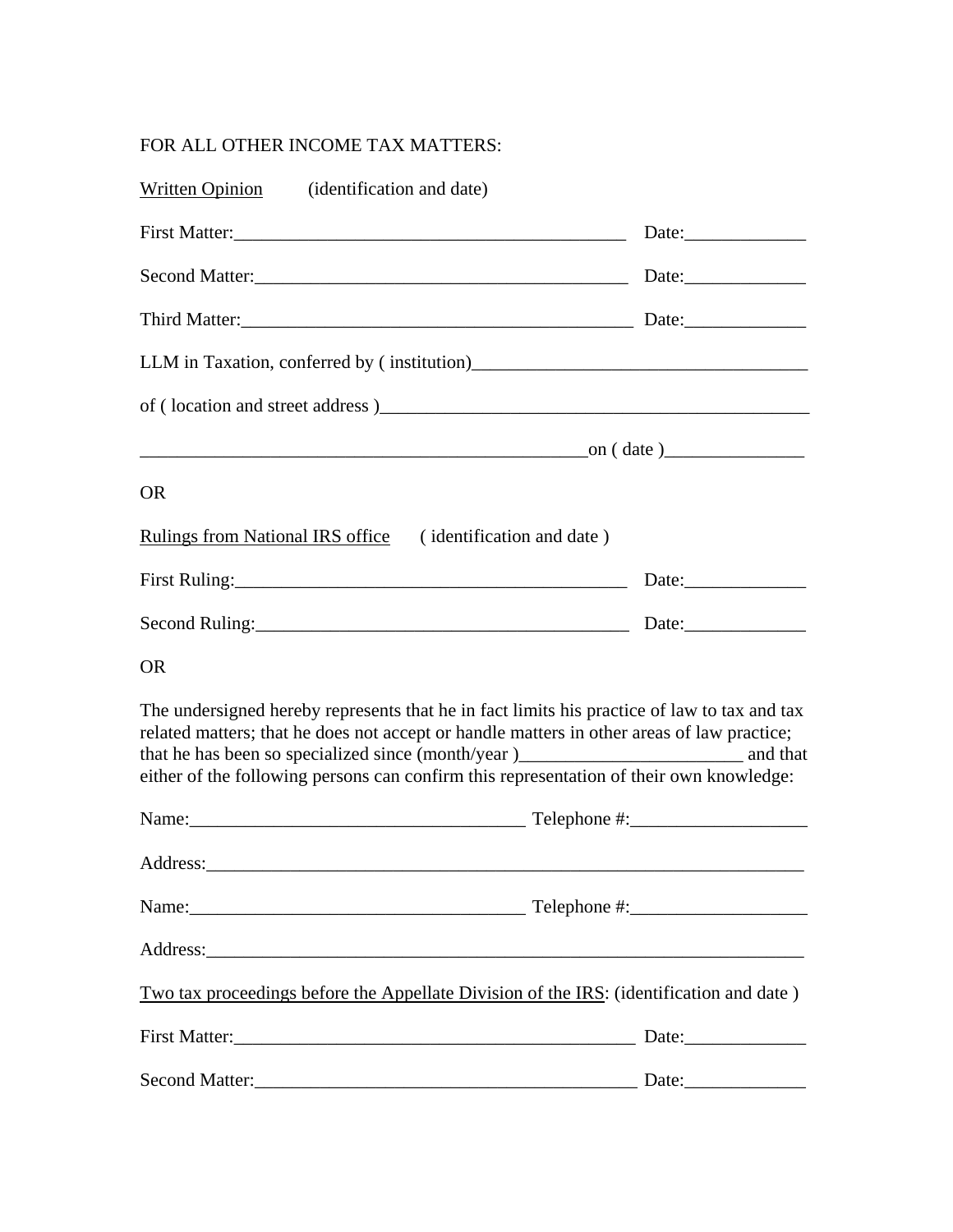## FOR ALL OTHER INCOME TAX MATTERS:

| Written Opinion (identification and date)                  |                                                                                                                                                                                                                                                                                      |
|------------------------------------------------------------|--------------------------------------------------------------------------------------------------------------------------------------------------------------------------------------------------------------------------------------------------------------------------------------|
|                                                            |                                                                                                                                                                                                                                                                                      |
|                                                            |                                                                                                                                                                                                                                                                                      |
|                                                            |                                                                                                                                                                                                                                                                                      |
|                                                            |                                                                                                                                                                                                                                                                                      |
|                                                            |                                                                                                                                                                                                                                                                                      |
|                                                            |                                                                                                                                                                                                                                                                                      |
| <b>OR</b>                                                  |                                                                                                                                                                                                                                                                                      |
| Rulings from National IRS office (identification and date) |                                                                                                                                                                                                                                                                                      |
|                                                            | Date:                                                                                                                                                                                                                                                                                |
|                                                            |                                                                                                                                                                                                                                                                                      |
| <b>OR</b>                                                  |                                                                                                                                                                                                                                                                                      |
|                                                            | The undersigned hereby represents that he in fact limits his practice of law to tax and tax<br>related matters; that he does not accept or handle matters in other areas of law practice;<br>either of the following persons can confirm this representation of their own knowledge: |
|                                                            |                                                                                                                                                                                                                                                                                      |
|                                                            |                                                                                                                                                                                                                                                                                      |
|                                                            |                                                                                                                                                                                                                                                                                      |
|                                                            |                                                                                                                                                                                                                                                                                      |
|                                                            | Two tax proceedings before the Appellate Division of the IRS: (identification and date)                                                                                                                                                                                              |
|                                                            | Date:                                                                                                                                                                                                                                                                                |
|                                                            |                                                                                                                                                                                                                                                                                      |